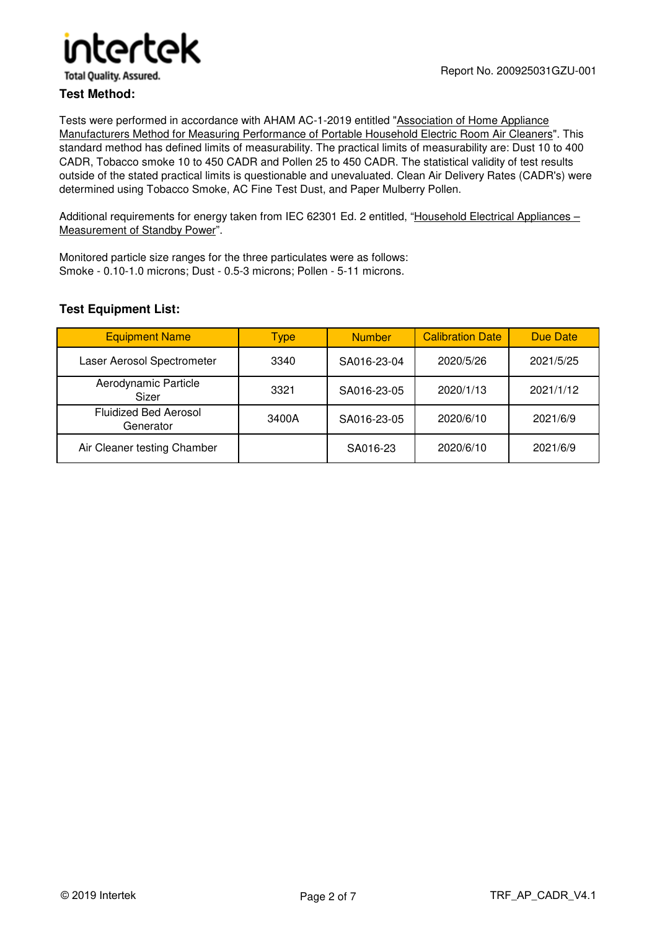

**Total Ouality. Assured.** 

#### **Test Method:**

Tests were performed in accordance with AHAM AC-1-2019 entitled "Association of Home Appliance Manufacturers Method for Measuring Performance of Portable Household Electric Room Air Cleaners". This standard method has defined limits of measurability. The practical limits of measurability are: Dust 10 to 400 CADR, Tobacco smoke 10 to 450 CADR and Pollen 25 to 450 CADR. The statistical validity of test results outside of the stated practical limits is questionable and unevaluated. Clean Air Delivery Rates (CADR's) were determined using Tobacco Smoke, AC Fine Test Dust, and Paper Mulberry Pollen.

Additional requirements for energy taken from IEC 62301 Ed. 2 entitled, "Household Electrical Appliances – Measurement of Standby Power".

Monitored particle size ranges for the three particulates were as follows: Smoke - 0.10-1.0 microns; Dust - 0.5-3 microns; Pollen - 5-11 microns.

#### **Test Equipment List:**

| <b>Equipment Name</b>                     | Type  | <b>Number</b> | <b>Calibration Date</b> | Due Date  |
|-------------------------------------------|-------|---------------|-------------------------|-----------|
| Laser Aerosol Spectrometer                | 3340  | SA016-23-04   | 2020/5/26               | 2021/5/25 |
| Aerodynamic Particle<br>Sizer             | 3321  | SA016-23-05   | 2020/1/13               | 2021/1/12 |
| <b>Fluidized Bed Aerosol</b><br>Generator | 3400A | SA016-23-05   | 2020/6/10               | 2021/6/9  |
| Air Cleaner testing Chamber               |       | SA016-23      | 2020/6/10               | 2021/6/9  |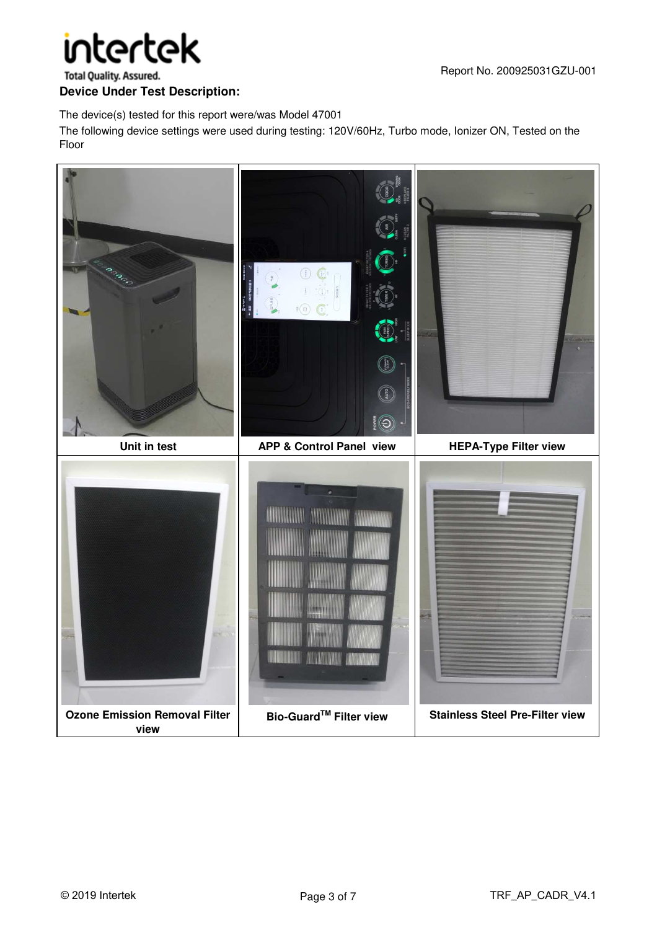# intertek

**Total Quality. Assured.** 

#### **Device Under Test Description:**

The device(s) tested for this report were/was Model 47001

The following device settings were used during testing: 120V/60Hz, Turbo mode, Ionizer ON, Tested on the Floor

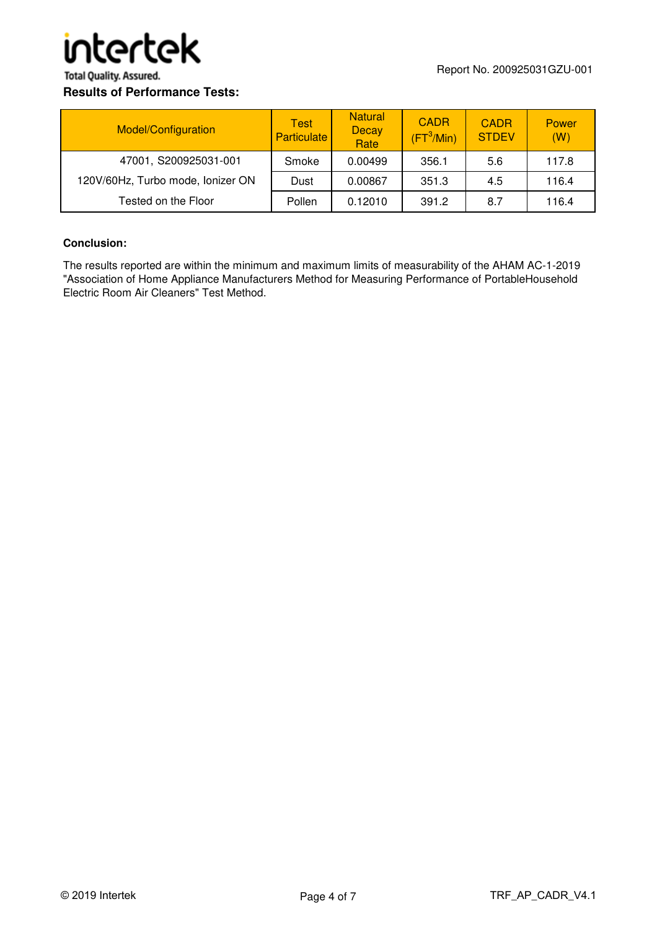

**Total Quality. Assured.** 

#### **Results of Performance Tests:**

| Model/Configuration               | Test<br><b>Particulate</b> | <b>Natural</b><br><b>Decay</b><br>Rate | <b>CADR</b><br>$(\mathsf{FT}^3/\mathsf{Min})$ | <b>CADR</b><br><b>STDEV</b> | Power<br>(W) |
|-----------------------------------|----------------------------|----------------------------------------|-----------------------------------------------|-----------------------------|--------------|
| 47001, S200925031-001             | Smoke                      | 0.00499                                | 356.1                                         | 5.6                         | 117.8        |
| 120V/60Hz, Turbo mode, Ionizer ON | Dust                       | 0.00867                                | 351.3                                         | 4.5                         | 116.4        |
| Tested on the Floor               | Pollen                     | 0.12010                                | 391.2                                         | 8.7                         | 116.4        |

#### **Conclusion:**

The results reported are within the minimum and maximum limits of measurability of the AHAM AC-1-2019 "Association of Home Appliance Manufacturers Method for Measuring Performance of PortableHousehold Electric Room Air Cleaners" Test Method.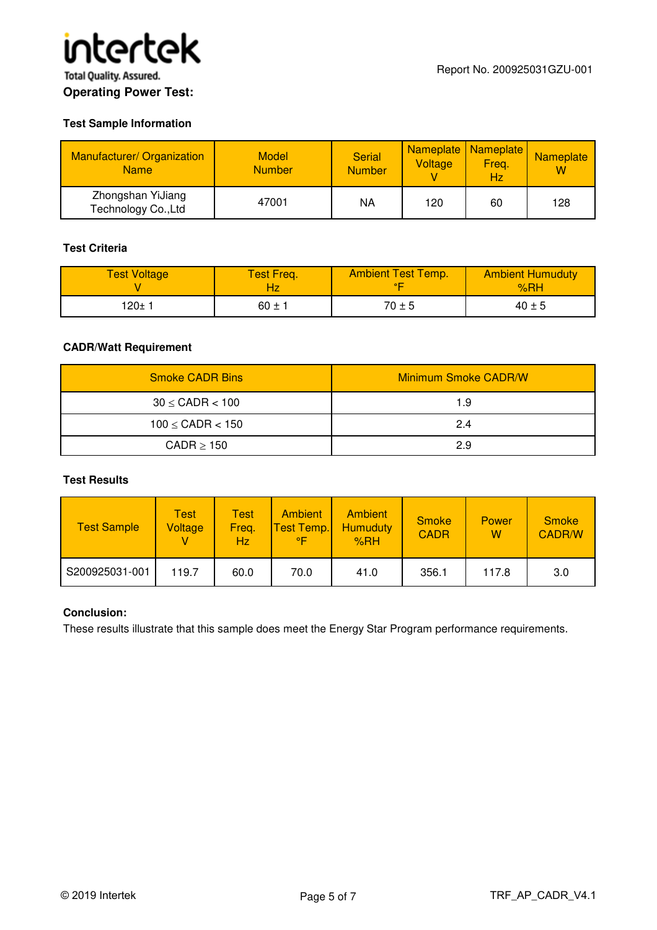

#### **Test Sample Information**

| <b>Manufacturer/ Organization</b><br><b>Name</b> | <b>Model</b><br><b>Number</b> | <b>Serial</b><br><b>Number</b> | Voltage | Nameplate   Nameplate  <br>Freq.<br>Hz | <b>Nameplate</b><br>w |
|--------------------------------------------------|-------------------------------|--------------------------------|---------|----------------------------------------|-----------------------|
| Zhongshan YiJiang<br>Technology Co., Ltd         | 47001                         | ΝA                             | 120     | 60                                     | 128                   |

#### **Test Criteria**

| <b>Test Voltage</b> | <b>Test Freq.</b> | <b>Ambient Test Temp.</b> | <b>Ambient Humuduty</b><br>%RH |
|---------------------|-------------------|---------------------------|--------------------------------|
| 120± 1              | $60 \pm 1$        | $70 \pm 5$                | $40 \pm 5$                     |

#### **CADR/Watt Requirement**

| <b>Smoke CADR Bins</b>  | <b>Minimum Smoke CADR/W</b> |  |  |
|-------------------------|-----------------------------|--|--|
| $30 \leq$ CADR $< 100$  | 1.9                         |  |  |
| $100 \leq$ CADR $< 150$ | 2.4                         |  |  |
| $CADR \geq 150$         | 2.9                         |  |  |

#### **Test Results**

| <b>Test Sample</b> | Test<br>Voltage | Test<br>Freq.<br>Hz | <b>Ambient</b><br><b>Test Temp.</b><br>°F⊹ | Ambient<br><b>Humuduty</b><br>%RH | <b>Smoke</b><br><b>CADR</b> | Power<br>W | <b>Smoke</b><br><b>CADR/W</b> |
|--------------------|-----------------|---------------------|--------------------------------------------|-----------------------------------|-----------------------------|------------|-------------------------------|
| S200925031-001     | 119.7           | 60.0                | 70.0                                       | 41.0                              | 356.1                       | 117.8      | 3.0                           |

#### **Conclusion:**

These results illustrate that this sample does meet the Energy Star Program performance requirements.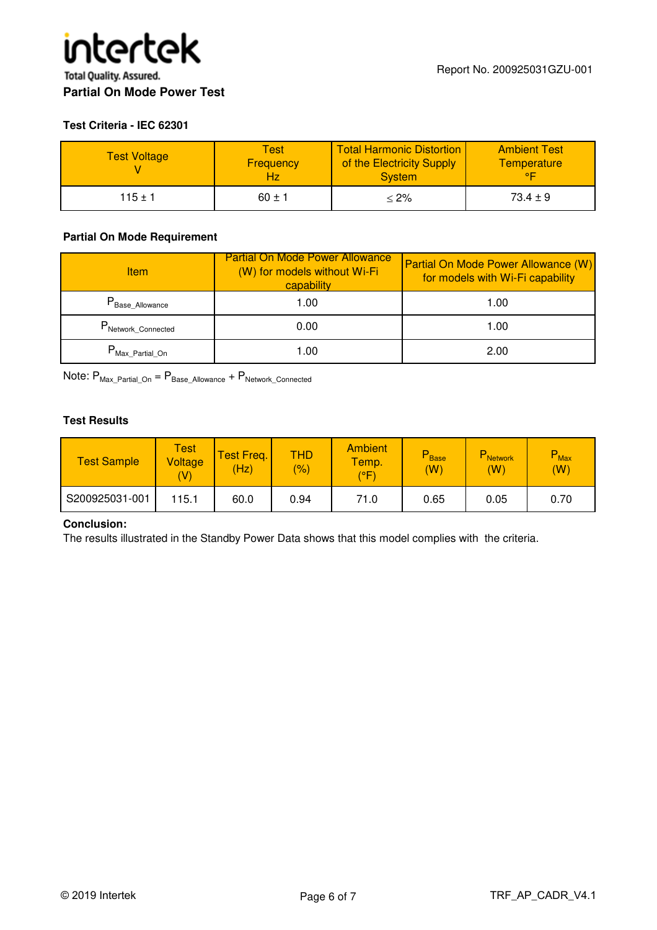#### **Test Criteria - IEC 62301**

| <b>Test Voltage</b> | Testl<br><b>Frequency</b> | <b>Total Harmonic Distortion</b><br>of the Electricity Supply<br><b>System</b> | <b>Ambient Test</b><br><b>Temperature</b><br>$\circ$ |
|---------------------|---------------------------|--------------------------------------------------------------------------------|------------------------------------------------------|
| $115 \pm 1$         | $60 \pm 1$                | $<$ 2% $\,$                                                                    | $73.4 \pm 9$                                         |

#### **Partial On Mode Requirement**

| <b>Item</b>                              | <b>Partial On Mode Power Allowance</b><br>(W) for models without Wi-Fi<br>capability | Partial On Mode Power Allowance (W)<br>for models with Wi-Fi capability |
|------------------------------------------|--------------------------------------------------------------------------------------|-------------------------------------------------------------------------|
| $\mathsf{P}_\mathsf{Base\_Allowance}$    | 1.00                                                                                 | 1.00                                                                    |
| P <sub>Network_Connected</sub>           | 0.00                                                                                 | 1.00                                                                    |
| $\mathsf{P}_{\mathsf{Max\_Partial\_On}}$ | 1.00                                                                                 | 2.00                                                                    |

Note:  $P_{\text{Max\_Partial\_On}} = P_{\text{Base\_Allowance}} + P_{\text{Network\_Connected}}$ 

#### **Test Results**

| <b>Test Sample</b> | <b>Test</b><br>Voltage<br>(V) | est Freq.<br>(Hz) | THD<br>$\frac{1}{2}$ | <b>Ambient</b><br>Temp.<br>(°F | <b>P</b> Base<br>(W) | $\mathsf{\Gamma}$ Network<br>(W) | <b>P</b> <sub>Max</sub><br>(W) |
|--------------------|-------------------------------|-------------------|----------------------|--------------------------------|----------------------|----------------------------------|--------------------------------|
| S200925031-001     | 115.1                         | 60.0              | 0.94                 | 71.0                           | 0.65                 | 0.05                             | 0.70                           |

#### **Conclusion:**

The results illustrated in the Standby Power Data shows that this model complies with the criteria.